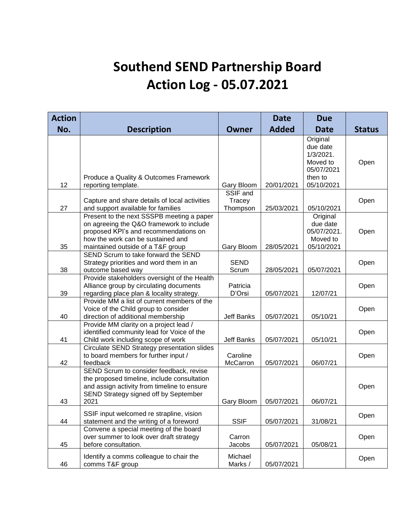## **Southend SEND Partnership Board Action Log - 05.07.2021**

| <b>Action</b> |                                                                                                                                                                                                          |                                | <b>Date</b>  | <b>Due</b>                                                                              |               |
|---------------|----------------------------------------------------------------------------------------------------------------------------------------------------------------------------------------------------------|--------------------------------|--------------|-----------------------------------------------------------------------------------------|---------------|
| No.           | <b>Description</b>                                                                                                                                                                                       | <b>Owner</b>                   | <b>Added</b> | <b>Date</b>                                                                             | <b>Status</b> |
| 12            | Produce a Quality & Outcomes Framework<br>reporting template.                                                                                                                                            | Gary Bloom                     | 20/01/2021   | Original<br>due date<br>$1/3/2021$ .<br>Moved to<br>05/07/2021<br>then to<br>05/10/2021 | Open          |
| 27            | Capture and share details of local activities<br>and support available for families                                                                                                                      | SSIF and<br>Tracey<br>Thompson | 25/03/2021   | 05/10/2021                                                                              | Open          |
| 35            | Present to the next SSSPB meeting a paper<br>on agreeing the Q&O framework to include<br>proposed KPI's and recommendations on<br>how the work can be sustained and<br>maintained outside of a T&F group | Gary Bloom                     | 28/05/2021   | Original<br>due date<br>05/07/2021.<br>Moved to<br>05/10/2021                           | Open          |
| 38            | SEND Scrum to take forward the SEND<br>Strategy priorities and word them in an<br>outcome based way                                                                                                      | <b>SEND</b><br>Scrum           | 28/05/2021   | 05/07/2021                                                                              | Open          |
| 39            | Provide stakeholders oversight of the Health<br>Alliance group by circulating documents<br>regarding place plan & locality strategy.                                                                     | Patricia<br>D'Orsi             | 05/07/2021   | 12/07/21                                                                                | Open          |
| 40            | Provide MM a list of current members of the<br>Voice of the Child group to consider<br>direction of additional membership                                                                                | <b>Jeff Banks</b>              | 05/07/2021   | 05/10/21                                                                                | Open          |
| 41            | Provide MM clarity on a project lead /<br>identified community lead for Voice of the<br>Child work including scope of work                                                                               | Jeff Banks                     | 05/07/2021   | 05/10/21                                                                                | Open          |
| 42            | Circulate SEND Strategy presentation slides<br>to board members for further input /<br>feedback                                                                                                          | Caroline<br>McCarron           | 05/07/2021   | 06/07/21                                                                                | Open          |
| 43            | SEND Scrum to consider feedback, revise<br>the proposed timeline, include consultation<br>and assign activity from timeline to ensure<br>SEND Strategy signed off by September<br>2021                   | Gary Bloom                     | 05/07/2021   | 06/07/21                                                                                | Open          |
| 44            | SSIF input welcomed re strapline, vision<br>statement and the writing of a foreword                                                                                                                      | <b>SSIF</b>                    | 05/07/2021   | 31/08/21                                                                                | Open          |
| 45            | Convene a special meeting of the board<br>over summer to look over draft strategy<br>before consultation.                                                                                                | Carron<br>Jacobs               | 05/07/2021   | 05/08/21                                                                                | Open          |
| 46            | Identify a comms colleague to chair the<br>comms T&F group                                                                                                                                               | Michael<br>Marks /             | 05/07/2021   |                                                                                         | Open          |